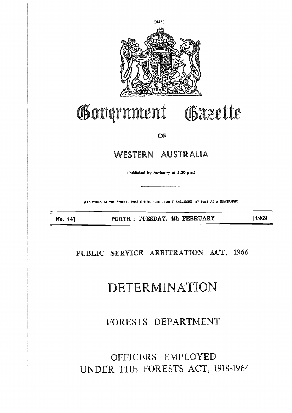## OFFICERS EMPLOYED UNDER THE FORESTS ACT, 1918-1964

### FORESTS DEPARTMENT

## DETERMINATION

### **PUBLIC SERVICE ARBITRATION ACT, 1966**

No. 14] 

**PERTH : TUESDAY, 4th FEBRUARY [1969**

**(REGISTERED AT THE GENERAL POST OFFICE, PERTH, FOR TRANSMISSION BY POST AS A NEWSPAPER)**

WESTERN AUSTRALI.

OF

Gäzette

Government





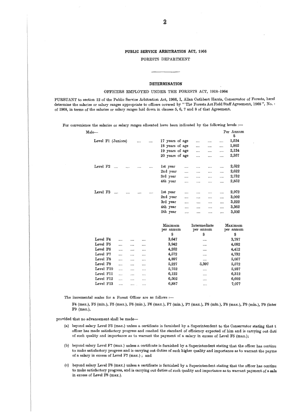#### **PUBLIC SERVICE ARBITRATION ACT, 1966**

FORESTS DEPARTMENT

#### **DETERMINATION**

#### OFFICERS EMPLOYED UNDER THE FORESTS ACT, 1918-1964

PURSUANT to section 12 of the Public Service Arbitration Act, 1966, I, Allan Cuthbert Harris, Conservator of Forests, herel determine the salaries or salary ranges appropriate to officers covered by "The Forests Act Field Staff Agreement, 1968", No. of 1968, in terms of the salaries or salary ranges laid down in clauses 5, 6, 7 and 8 of that Agreement.

For convenience the salaries or salary ranges allocated have been indicated by the following levels :-

DETERMINATION<br>
OFFICERS EMPLOYED UNDER THE FORESTS ACT, 1918-1964<br>
orison 12 of the Public Service Arbitration Act, 1966, I, Allan Cuthbert Harris, Conservato<br>
ries or salary ranges appropriate to officers covered by "The  $\begin{array}{c} \$ \\ 1,524 \end{array}$ DETERMINATION<br>
OFFICERS EMPLOYED UNDER THE FORESTS ACT, 1918-1964<br>
12 of the Public Service Arbitration Act, 1966, I, Allan Cuthbert Harris, Conserva<br>
or salary ranges appropriate to officers covered by "The Forests Act Fi ER THE FORESTS ACT, 1918–1964<br>
Act, 1966, I, Allan Cuthbert Harris, Conserve<br>
covered by "The Forests Act Field Staff Agre<br>
clauses 5, 6, 7 and 8 of that Agreement.<br>
nave been indicated by the following levels :<br>
Per Annus ER THE FORESTS ACT, 1918–1964<br>
Act, 1966, I, Allan Cuthbert Harris, Conserva<br>
covered by "The Forests Act Field Staff Agre<br>
clauses 5, 6, 7 and 8 of that Agreement.<br>
nave been indicated by the following levels :<br>
Per Annu<br> Act, 1966, I, Allan Cuthbert Harris, Conserva<br>
covered by "The Forests Act Field Staff Agre<br>
clauses 5, 6, 7 and 8 of that Agreement.<br>
have been indicated by the following levels :<br>
Per Annu<br>
17 years of age (1920) wears o Examples appropriate to omders dovered by the rotests actriciated banding examples salaries or salary ranges allocated have been indicated by the following levels :<br>
Per Annus<br>
Level F1 (Juniors) .... .... 17 years of age crauses 5, 0, 7 and 6 01 enac Agreement.<br>
17 years of age  $\ldots$  .... .... 1,524<br>
18 years of age  $\ldots$  .... .... 1,524<br>
19 years of age  $\ldots$  .... .... 1,802<br>
19 years of age  $\ldots$  .... ... 2,124<br>
20 years of age  $\ldots$  .. are been indicated by the following levels :-<br>
Per Annu \$<br>
3 years of age .... .... ..... 1,524<br>
13 years of age .... .... .... 1,802<br>
19 years of age .... .... .... 2,124<br>
20 years of age .... .... .... 2,357<br>
1st year .. At years of age and indicated by the following levels :-<br>
Per Annu \$<br>
17 years of age and and all the set of age and and all the set of age and and all the set of age and and all the set of age and and all the set of age a Level F1 (Juniors) .... .... 17 years of age .... .... .... 1524<br>
18 years of age .... .... .... 1502<br>
19 years of age .... .... .... 1502<br>
20 years of age .... .... ... 2,357<br>
Level F2 .... .... .... ... 1st year .... ... 17 years of age .... .... .... 1,524<br>
18 years of age .... .... .... 1,524<br>
19 years of age .... .... .... 2,124<br>
20 years of age .... .... .... 2,522<br>
2nd year .... .... .... .... 2,522<br>
2nd year .... .... .... .... 2,522 17 years of age .... .... .... .... 1,524<br>
18 years of age .... .... .... 1,802<br>
19 years of age .... .... .... 2,124<br>
20 years of age .... .... .... 2,522<br>
2nd year .... .... .... 2,522<br>
2nd year .... .... .... 2,732<br>
3rd 18 years of age .... .... .... 1,802<br>19 years of age .... .... .... 2,124<br>20 years of age .... .... .... 2,357<br>1st year .... .... .... .... 2,522<br>2nd year .... .... .... .... 2,322<br>3rd year .... .... .... ... 2,972<br>2nd yea 19 years of age .... .... .... .... 2,124<br>
20 years of age .... .... .... 2,522<br>
2nd year .... .... .... 2,522<br>
2nd year .... .... .... 2,522<br>
3rd year .... .... .... 2,322<br>
4th year .... .... .... ... 2,972<br>
2nd year .... Minimum per annum \$ Intermediate per annum \$ Maximum per annum \$ Level F4 .... .... .... 3,647 .... .... 3,787 Level F5 3,942 4,092 Level F6 .... .... .... 4,252 .... 4,412 Level F7 .... .... .... 4,572 .... 4,732 Level F8 .... .... .... 4,897 ..... 5,057 Level F9 .... .... ..... 5,227 5,397 5,572 Level F10 .... .... .... 5,752 .... 5,937<br>
Level F11 .... .... .... 6,122 .... 6,312

The incremental scales for a Forest Officer are as follows :-

F4 (max.), F5 (min.), F5 (max.), F6 (min.), F6 (max.), F7 (min.), F7 (max.), F8 (min.), F8 (max.), F9 (min.), F9 (inter F9 (max.),

Level F11 6,122 6,312 Level F12 .... .... .... 6,502 .... 6,692 Level F13 .... .... ..... 6,887 ...... 7,077

provided that no advancement shall be made-

- (a) beyond salary Level F5 (max.) unless a certificate is furnished by a Superintendent to the Conservator stating that t officer has made satisfactory progress and reached the standard of efficiency expected of him and is carrying out duti of such quality and importance as to warrant the payment of a salary in excess of Level F5 (max.);
- (b) beyond salary Level F7 (max.) unless a certificate is furnished by a Superintendent stating that the officer has continu to make satisfactory progress and is carrying out duties of such higher quality and importance as to warrant the payme of a salary in excess of Level F7 (max.) ; and
- (c) beyond salary Level F8 (max.) unless a certificate is furnished by a Superintendent stating that the officer has continu to make satisfactory progress, and is carrying out duties of such quality and importance as to warrant payment of a sala in excess of Level F8 (max.).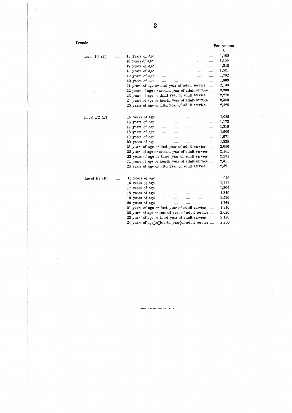|                  |           |                                                | 3 |           |          |           |                                                                                        |           |                |
|------------------|-----------|------------------------------------------------|---|-----------|----------|-----------|----------------------------------------------------------------------------------------|-----------|----------------|
| $_{\rm Female-}$ |           |                                                |   |           |          |           |                                                                                        |           |                |
|                  |           |                                                |   |           |          |           |                                                                                        |           | Per Annum<br>S |
| Level $F1$ $(F)$ | .         | 15 years of age                                |   | .         |          |           | .                                                                                      | .         | 1,108          |
|                  |           | 16 years of age                                |   |           | .        |           |                                                                                        | .         | 1,199          |
|                  |           | 17 years of age                                |   | .         | .        | .         | .                                                                                      | .         | 1,348          |
|                  |           | 18 years of age                                |   | .         | .        | .         | .                                                                                      |           | 1,534          |
|                  |           | 19 years of age                                |   | .         | .        | .         | .                                                                                      |           | 1,702          |
|                  |           | 20 years of age                                |   | $\cdots$  | .        | $\ddotsc$ | $\ddotsc$                                                                              | .         | 1,863          |
|                  |           | 21 years of age or first year of adult service |   |           |          |           |                                                                                        | .         | 2,100          |
|                  |           |                                                |   |           |          |           | 22 years of age or second year of adult service                                        |           | 2,200          |
|                  |           | 23 years of age or third year of adult service |   |           |          |           |                                                                                        | $\cdots$  | 2,270          |
|                  |           |                                                |   |           |          |           | 24 years of age or fourth year of adult service                                        |           | 2,340          |
|                  |           | 25 years of age or fifth year of adult service |   |           |          |           |                                                                                        | .         | 2,420          |
| Level $F2$ (F)   | .         | 15 years of age                                |   | $\cdots$  | $\cdots$ | $\cdots$  | $\ddotsc$                                                                              | .         | 1,085          |
|                  |           | 16 years of age                                |   | $\cdots$  | $\cdots$ | $\cdots$  | .                                                                                      | .         | 1,173          |
|                  |           | 17 years of age                                |   | $\cdots$  | .        | .         | .                                                                                      | .         | 1,319          |
|                  |           | 18 years of age                                |   | .         | .        | .         |                                                                                        | .         | 1,506          |
|                  |           | 19 years of age                                |   | .         | .        | .         | .                                                                                      | $\ddotsc$ | 1,671          |
|                  |           | 20 years of age                                |   | $\ddotsc$ | $\cdots$ | $\cdots$  | $\cdots$                                                                               | $\ddotsc$ | 1,835          |
|                  |           | 21 years of age or first year of adult service |   |           |          |           |                                                                                        | .         | 2,056          |
|                  |           |                                                |   |           |          |           | 22 years of age or second year of adult service                                        |           | 2,151          |
|                  |           |                                                |   |           |          |           | 23 years of age or third year of adult service                                         |           | 2,231          |
|                  |           |                                                |   |           |          |           | 24 years of age or fourth year of adult service                                        |           | 2,311          |
|                  |           | 25 years of age or fifth year of adult service |   |           |          |           |                                                                                        | $\ddotsc$ | 2,391          |
| Level $F3$ (F)   | $\ddotsc$ | 15 years of age                                |   | .         | $\cdots$ | $\ddotsc$ | .                                                                                      | .         | 976            |
|                  |           | 16 years of age                                |   | $\cdots$  | .        | .         | .                                                                                      |           | 1,111          |
|                  |           | 17 years of age                                |   | $\cdots$  | .        |           | .                                                                                      | .         | 1,204          |
|                  |           | 18 years of age                                |   | .         | $\cdots$ | $\ldots$  | $\cdots$                                                                               | .         | 1,349          |
|                  |           | 19 years of age                                |   | $\cdots$  | .        | .         | .                                                                                      |           | $-1,536$       |
|                  |           | 20 years of age                                |   |           | .        | .         | .                                                                                      | .         | 1,749          |
|                  |           | 21 years of age or first year of adult service |   |           |          |           |                                                                                        | .         | 1,910          |
|                  |           |                                                |   |           |          |           | 22 years of age or second year of adult service                                        |           | 2,020          |
|                  |           | 23 years of age or third year of adult service |   |           |          |           |                                                                                        | ú.,       | 2,120          |
|                  |           |                                                |   |           |          |           | 24 years of age <sup>n</sup> or <sup>7</sup> fourth year <sup>7</sup> of adult service |           | 2,200          |
|                  |           |                                                |   |           |          |           |                                                                                        |           |                |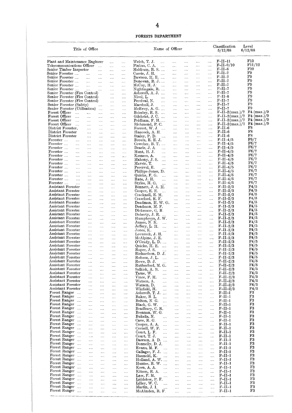|                                  |                                                              |                      |                             |                      |                      |                      |                                           | 4                           |                      |                      |                      |                      |                                           |                                    |
|----------------------------------|--------------------------------------------------------------|----------------------|-----------------------------|----------------------|----------------------|----------------------|-------------------------------------------|-----------------------------|----------------------|----------------------|----------------------|----------------------|-------------------------------------------|------------------------------------|
|                                  |                                                              |                      |                             |                      |                      |                      | FORESTS DEPARTMENT                        |                             |                      |                      |                      |                      | Classification                            | Level                              |
|                                  |                                                              |                      | Title of Office             |                      |                      |                      |                                           | Name of Officer             |                      |                      |                      |                      | 5/12/68                                   | 6/12/68                            |
|                                  | Plant and Maintenance Engineer<br>Telecommunications Officer |                      |                             | $\cdots$             | $\cdots$<br>         | <br>                 | Welch, T. J.<br>Pinkus, C. A.             | $\cdots$<br>$\ddotsc$       | <br>$\cdots$         | .<br>                | .<br>                | <br>.                | $F-II-I1$<br>F–II–9/10<br>$_{\rm F-II-8}$ | F13<br>F11/12<br>F10               |
|                                  | Senior Timber Inspector<br>Senior Forester                   |                      |                             | <br>                 | <br>$\cdots$         | <br>$\cdots$         | Meldrum, R. S.<br>Currie, J. H.           | $\cdots$                    | $\cdots$<br>         | <br>.                | <br>                 | <br>                 | $_{\rm F-II-7}$                           | $_{\rm F9}$                        |
|                                  | Senior Forester<br>Senior Forester                           |                      | $\cdots$<br>$\cdots$        | $\cdots$<br>$\cdots$ | $\cdots$<br>$\cdots$ | $\cdots$<br>$\ldots$ | Dawson, H. E.<br>Donovan, R. J            |                             | <br>                 | $\cdots$<br>$\cdots$ | $\cdots$<br>$\cdots$ | <br>                 | $F-II-7$<br>$F-II-7$                      | F9<br>F9                           |
|                                  | Senior Forester                                              |                      | $\ldots$                    | $\cdots$             | $\cdots$             | $\cdots$             | McCoy, H. J.                              | $\sim$                      |                      |                      |                      |                      | $F-II-7$                                  | F9<br>F9                           |
|                                  | Senior Forester<br>Senior Forester (Fire Control)            |                      | $\cdots$                    | $\ldots$             | $\cdots$<br>         | $\cdots$<br>$\ldots$ | Nightingale, R.<br>Asheroft, A. J.        |                             | <br>                 | $\cdots$<br>         | <br>$\cdots$         | <br>                 | $F-II-7$<br>$F-II-7$                      | F9                                 |
|                                  | Senior Forester (Fire Control)                               |                      |                             |                      |                      | $\cdots$             | Nicol, L.                                 | $\cdots$                    | .                    | .                    |                      | $\ldots$             | $_{\rm F-II-6}$<br>F-II-7                 | F9<br>$_{\rm F9}$                  |
|                                  | Senior Forester (Fire Control)<br>Senior Forester (Safety)   |                      |                             |                      | $\ldots$<br>         | <br>$\ldots$         | Percival, N.<br>Marshall, J.              | .<br>$\ldots$               | .<br>                | <br>$\cdots$         | $\cdots$<br>         | <br>$\cdots$         | $F-II-7$                                  | F9                                 |
| Forest Officer                   | Senior Forester (Utilisation)                                |                      |                             | $\ldots$             | $\cdots$             |                      | $McEvoy, A. G.$                           |                             | $\cdots$             | .                    |                      |                      | $F-II-7$<br>$_{\rm F-II-2(max.)/7}$       | F9<br>$F4 \ (max.)/9$              |
| Forest Officer                   |                                                              | $\ldots$<br>$\ldots$ | <br>                        | $\cdots$<br>         | <br>$\cdots$         | $\cdots$<br>         | Brierley, R.S.<br>Gilehrist, J.C.         |                             | $\cdots$<br>         | <br>.                | <br>                 | <br>                 | $F-II-2(max.)/7$                          | $F4 \ (max.)/9$                    |
| Forest Officer<br>Forest Officer |                                                              | $\cdots$<br>$\cdots$ |                             |                      | $\cdots$             |                      | $Pridham, F. H. \dots$<br>Richmond, P. C. |                             |                      |                      | $\cdots$<br>         |                      | $F-II-2(max.)/7$<br>$F-II-2(max.)/7$      | $F4 \ (max.)/9$<br>$F4 \ (max.)/9$ |
|                                  | District Forester.                                           |                      | <br>                        | <br>                 | $\cdots$<br>$\ldots$ | $\ldots$<br>$\ldots$ | Forrest, W. J.                            | $\ldots$                    | <br>$\cdots$         | .<br>.               | $\cdots$             | <br>                 | $F-II-6$                                  | F8                                 |
|                                  | District Forester<br>District Forester                       |                      | <br>$\cdots$                |                      | $\cdots$             |                      | Hancock, A. H.<br>Staley, P. D.           | $\cdots$                    | $\cdots$<br>         | <br>                 | <br>                 | <br>                 | $F-II-6$<br>$F-II-6$                      | $_{\rm F8}$<br>$_{\rm F8}$         |
| Forester                         |                                                              |                      | $\cdots$                    | $\cdots$<br>         | $\cdots$<br>         | $\ldots$<br>         | Brown, E. E. J.                           |                             |                      | $\cdots$             |                      |                      | $F-II-4/5$                                | F6/7                               |
| Forester<br>Forester             |                                                              | $\cdots$<br>         | <br>$\ldots$                | <br>                 | <br>                 | <br>$\cdots$         | Cowcher, B. T.<br>Dearle, J. A.           | $\ldots$<br>.               | <br>                 | <br>                 | <br>                 | <br>                 | $F-II-4/5$<br>$F-II-4/5$                  | $_{\rm F6/7}$<br>F6/7              |
| Forester                         |                                                              |                      | $\cdots$                    | $\cdots$             | $\cdots$             |                      | Hunt, H. J.                               | .                           |                      | .                    | $\cdots$             |                      | $F-II-4/5$                                | F6/7                               |
| Forester<br>Forester             |                                                              | <br>                 | <br>$\cdots$                | $\ldots$<br>$\cdots$ | <br>$\cdots$         | $\ldots$<br>         | Kesners, A.<br>Mahony, J. S.              | <br>$\mathbf{r}$            | <br>$\cdots$         | <br>                 | <br>$\cdots$         | <br>                 | $F-II-4/5$<br>$F-II-4/5$                  | F6/7<br>$_{\rm F6/7}$              |
| Forester<br>Forester             |                                                              |                      |                             |                      |                      |                      | Mavric, T.                                | $\cdots$                    |                      | $\cdots$             | $\cdots$             |                      | $F-II-4/5$<br>$_{\rm F-II-4/5}$           | ${\rm F6/7}$<br>F6/7               |
| Forester                         |                                                              | $\ldots$<br>         | <br>                        | <br>                 | <br>                 | <br>                 | Percival, E.<br>Phillips-Jones, D.        |                             | <br>                 | <br>.                | <br>                 | <br>                 | $F-II-4/5$                                | $_{\rm F6/7}$                      |
| Forester<br>Forester             |                                                              | <br>$\cdots$         | $\cdots$                    | $\cdots$             | $\cdots$             |                      | Quicke, F. G.<br>Rate, J. H.              | .<br>                       | $\cdots$             | $\cdots$             |                      |                      | $F-II-4/5$<br>$_{\rm F-II-4/5}$           | F6/7<br>F6/7                       |
| Forester                         |                                                              | $\cdots$             | <br>                        | <br>                 | <br>$\cdots$         | <br>                 | Styles, H. G.                             | $\cdots$                    | <br>                 | <br>                 | <br>                 | <br>                 | $_{\rm F-II-4/5}$                         | ${\rm F6/7}$                       |
|                                  | Assistant Forester<br>Assistant Forester                     |                      | $\cdots$<br>$\cdots$        | $\cdots$<br>         | $\sim$<br>$\cdots$   | <br>                 | Bennett, J. A. H.<br>Cooper, E. E.        |                             | <br>                 | $\cdots$<br>         | <br>                 | <br>                 | $F-II-2/3$<br>$F-II-2/3$                  | F4/5<br>F4/5                       |
|                                  | Assistant Forester                                           |                      |                             |                      | $\cdots$             | $\cdots$             | Cracknell, E. M.                          |                             | $\cdots$             |                      |                      |                      | $_{\rm F-II-2/3}$                         | F4/5                               |
|                                  | Assistant Forester<br>Assistant Forester                     |                      | $\cdots$<br>$\ldots$        | $\cdots$<br>         | <br>                 | <br>                 | Crawford, E. F.<br>Deadman, H.W.G.        |                             | <br>                 | $\cdots$<br>         | <br>                 | <br>.                | $F-II-2/3$<br>$F-II-2/3$                  | F4/5<br>$\rm F4/5$                 |
|                                  | Assistant Forester                                           |                      |                             | $\cdots$             | $\cdots$             | $\cdots$             | Deadman, M.F.                             |                             | $\cdots$             | $\cdots$             |                      |                      | $F-II-2/3$                                | F4/5                               |
|                                  | Assistant Forester<br>Assistant Forester                     |                      | $\cdots$<br>$\ldots$        | <br>                 | $\cdots$<br>         | $\ldots$<br>$\ldots$ | Dickerson, G. B.<br>Doherty, J. R.        |                             | <br>                 | <br>                 | <br>$\ldots$         | <br>                 | $_{\rm F-II-2/3}$<br>$F-II-2/3$           | 14/5<br>F4/5                       |
|                                  | Assistant Forester<br>Assistant Forester                     |                      | $\ldots$                    |                      | $\ldots$             | $\ldots$             | Humphreys, J. W.<br>James, N. K.          |                             | $\cdots$             |                      |                      |                      | $F-II-2/3$<br>$F-II-2/3$                  | F4/5<br>F4/5                       |
|                                  | Assistant Forester                                           |                      | $\cdots$<br>$\cdots$        | $\cdots$<br>$\ldots$ | <br>                 | $\ldots$<br>$\cdots$ | Jeffery, $L$ . $H$ .                      | .<br>$\cdots$               | $\ldots$<br>$\cdots$ | $\cdots$<br>         | $\ldots$<br>$\ldots$ | <br>                 | $F-II-2/3$                                | $\rm{F4/5}$                        |
|                                  | Assistant Forester<br>Assistant Forester                     |                      | $\ldots$<br>$\ldots$        | $\ldots$<br>$\cdots$ | $\cdots$             |                      | Jones, K.<br>Loverock, J. H.              | $\ldots$                    | $\cdots$<br>$\cdots$ | $\cdots$             | $\cdots$<br>$\ldots$ | <br>$\cdots$         | $F-II-2/3$<br>$F-II-2/3$                  | $\mathbb{F}4/5$<br>F4/5            |
|                                  | Assistant Forester                                           |                      | $\cdots$                    | $\ldots$             | <br>                 | $\cdots$<br>         | McAlpine, J. E.                           |                             | $\cdots$             | $\ldots$<br>         | $\ldots$             |                      | $F-II-2/3$                                | F4/5                               |
|                                  | Assistant Forester<br>Assistant Forester                     |                      | $\ldots$<br>$\cdots$        | <br>$\cdots$         | <br>                 | $\ldots$<br>$\cdots$ | $O'Grady, L. D.$<br>Quicke, H. E.         | $\sim$                      | $\cdots$<br>         | $\cdots$<br>$\cdots$ | $\ldots$<br>$\cdots$ | <br>                 | $F-II-2/3$<br>$F-II-2/3$                  | F4/5<br>$\mathbb{T}4/5$            |
|                                  | Assistant Forester                                           |                      |                             | $\ldots$             |                      |                      | Raper, J. S.                              |                             |                      |                      | $\ldots$             |                      | $F-II-2/3$                                | $\Gamma 4/5$                       |
|                                  | Assistant Forester<br>Assistant Forester                     |                      | $\ldots$<br>$\cdots$        | $\cdots$<br>         | <br>                 | $\cdots$<br>         | Richardson, D. J.<br>Robson, J. L.        | $\cdots$                    | <br>                 | $\cdots$<br>         | $\cdots$<br>$\ldots$ | <br>                 | $F-II-2/3$<br>$F-II-2/3$                  | F4/5<br>$\rm F4/5$                 |
|                                  | Assistant Forester<br>Assistant Forester                     |                      |                             | $\ldots$             |                      |                      | Rowe, D. J.                               | .                           |                      |                      | $\ldots$             |                      | $F-II-2/3$<br>$F-II-2/3$                  | F4/5<br>F4/5                       |
|                                  | Assistant Forester                                           |                      | <br>$\cdots$                | <br>                 | <br>$\cdots$         | <br>                 | Rutherford, M. G.<br>Selkirk. A. B.       | $\cdots$                    | <br>                 | $\cdots$<br>         | $\ldots$<br>$\cdots$ | <br>                 | $F-II-2/3$                                | F4/5                               |
|                                  | Assistant Forester<br>Assistant Forester                     |                      | <br>                        | $\ldots$             | $\ldots$             |                      | Tame, W.<br>Vince, F. H.                  | <br>$\cdots$                |                      |                      | $\ldots$             | $\cdots$             | $F-II-2/3$<br>$F-II-2/3$                  | F4/5<br>F4/5                       |
|                                  | Assistant Forester                                           |                      | $\cdots$                    | $\cdots$<br>$\ldots$ | $\cdots$<br>$\cdots$ | <br>                 | Watson, A.                                | $\ldots$                    | <br>                 | <br>                 | <br>                 | $\ldots$<br>$\cdots$ | $F-II-2/3$                                | F4/5                               |
|                                  | Assistant Forester<br>Assistant Forester                     |                      | <br>                        | $\ldots$<br>$\ldots$ | <br>                 | $\ldots$<br>         | Watson, D.<br>Winfield, H.                | $\cdots$<br>                | <br>                 | <br>                 | $\ldots$<br>         | $\cdots$<br>$\ldots$ | $F-II-2/3$<br>$F-II-2/3$                  | F4/5<br>F4/5                       |
|                                  | Forest Ranger                                                | $\dddotsc$           |                             | $\cdots$             |                      | $\ldots$             | Ashcroft, T. J.                           | $\cdots$                    | $\ldots$             |                      |                      | $\ldots$             | $F-II-I$                                  | $_{\rm F3}$                        |
|                                  | Forest Ranger<br>Forest Ranger                               | $\cdots$<br>$\cdots$ | <br>                        | <br>$\ldots$         | <br>$\cdots$         | <br>                 | Baker, B. L.<br>Belton, N. G.             | $\cdots$<br>$\ldots$        | <br>$\ldots$         | <br>                 | <br>                 | $\ldots$<br>$\ldots$ | $F-II-I$<br>$F-II-I$                      | F3<br>$_{\rm F3}$                  |
|                                  | Forest Ranger                                                | $\cdots$             | $\cdots$                    |                      |                      |                      | Black, G. W.                              |                             |                      |                      |                      |                      | $F-II-I$                                  | $_{\rm F3}$<br>$_{\rm F3}$         |
|                                  | Forest Ranger<br>Forest Ranger                               | $\cdots$<br>$\ldots$ | <br>$\ldots$                | <br>$\ldots$         | <br>                 | <br>$\ldots$         | Bradbury, C. R.<br>Brennan, W. G.         |                             | <br>$\cdots$         | <br>$\ldots$         | <br>                 | $\ldots$<br>         | $F-II-I$<br>$F-II-I$                      | $_{\rm F3}$                        |
|                                  | Forest Ranger<br>Forest Ranger                               | $\cdots$             | $\cdots$                    | $\cdots$             |                      |                      | Bukelis, N.                               |                             | $\ldots$             |                      |                      |                      | $F-II-I$<br>$F-II-I$                      | F3<br>F3                           |
|                                  | Forest Ranger                                                | $\cdots$<br>$\cdots$ | $\ldots$<br>$\ldots$        | $\ldots$<br>$\ldots$ | <br>                 | $\ldots$<br>$\ldots$ | Cave, R. G.<br>Cooper, A. A.              | <br>$\ldots$                | $\ldots$<br>$\ldots$ | <br>$\ldots$         | <br>                 | $\ldots$<br>         | $F-II-I$                                  | $_{\rm F3}$                        |
|                                  | Forest Ranger<br>Forest Ranger                               | $\cdots$<br>$\ldots$ | $\cdots$<br>$\ldots$        |                      | $\cdots$             | $\cdots$             | Cornell, W. F.<br>Court, L. F.            | $\sim$ . $\sim$<br>$\ldots$ | $\ldots$             |                      |                      | <br>$\cdots$         | $F-II-I$<br>$F-II-I$                      | F3<br>$_{\rm F3}$                  |
|                                  | Forest Ranger                                                | $\ldots$             | $\cdots$                    | <br>$\cdots$         | <br>                 | <br>                 | Court, T. J.                              | $\ldots$                    | $\ldots$<br>$\ldots$ | <br>$\cdots$         | $\cdots$<br>         |                      | $F-II-I$                                  | $_{\rm F3}$                        |
|                                  | Forest Ranger<br>Forest Ranger                               | $\ldots$<br>$\cdots$ | $\cdots$<br>$\ldots$        | <br>                 | <br>                 | $\cdots$<br>         | Dawson, $A. D.$<br>Donnelly, D. J.        |                             | $\cdots$<br>$\cdots$ | <br>                 | $\cdots$<br>         | .<br>                | $F-II-I$<br>$F-II-I$                      | $\rm{F}3$<br>$_{\rm F3}$           |
|                                  | Forest Ranger                                                | $\ldots$             | $\ldots$                    | $\cdots$             |                      | $\ldots$             | Evans, M. F.                              | $\ldots$                    | $\cdots$             | $\cdots$             | $\cdots$             |                      | $F-II-I$                                  | $_{\rm F3}$                        |
|                                  | Forest Ranger<br>Forest Ranger                               | $\cdots$<br>$\cdots$ | $\cdots$<br>$\ldots$        | $\cdots$<br>$\ldots$ | <br>                 | <br>                 | Gallager, F. J.<br>Haunold, K.            | $\cdots$                    | <br>                 | <br>                 | $\cdots$<br>         | <br>                 | $F-II-I$<br>$F-II-I$                      | $_{\rm F3}$<br>$_{\rm F3}$         |
|                                  | Forest Ranger<br>Forest Ranger                               | $\cdots$             | $\ldots$                    | $\cdots$             |                      |                      | Holland, A. W.                            |                             | $\cdots$             | $\ldots$             | $\cdots$             |                      | $F-II-I$                                  | F3<br>$^{\rm T3}$                  |
|                                  | Forest Ranger                                                | $\cdots$<br>$\cdots$ | $\cdots$<br>$\cdots$        | $\cdots$<br>$\ldots$ | <br>$\cdots$         | <br>                 | Hunter, $R. W. \ldots$<br>Kern, A. A.     |                             | $\cdots$<br>$\cdots$ | <br>                 | <br>                 | <br>                 | $F-II-I$<br>$F-II-I$                      | $_{\rm F3}$                        |
|                                  | Forest Ranger<br>Forest Ranger                               | $\cdots$             | $\ldots$                    | $\cdots$             |                      |                      | Kitson, R. A.                             | $\ddotsc$                   | $\cdots$             | $\cdots$             | $\cdots$             |                      | $_{\rm F-II-I}$                           | F3<br>$_{\rm F3}$                  |
|                                  | Forest Ranger                                                | $\ldots$<br>$\cdots$ | $\cdots$<br>$\ldots$        | $\ldots$<br>$\ldots$ | $\cdots$<br>         | $\cdots$<br>         | Law, F. M.<br>Liddelow, P. F.             | $\cdots$                    | $\cdots$<br>$\cdots$ | <br>                 | $\ldots$<br>$\ldots$ | $\ldots$<br>         | F–II–1<br>F-II-l                          | $_{\rm F3}$                        |
|                                  | Forest Ranger<br>Forest Ranger                               | $\cdots$<br>$\cdots$ | $\sim$ . $\sim$<br>$\ldots$ | $\ldots$             | $\cdots$             | $\ldots$             | Lilley, W.C.<br>Martin, J. I.             | $\cdots$                    | $\cdots$             | $\cdots$             | $\ldots$             |                      | $F-II-I$<br>$_{\rm F-II-I}$               | F3<br>$_{\rm F3}$                  |
|                                  | Forest Ranger                                                | $\cdots$             | $\cdots$                    | <br>                 | $\cdots$<br>         | <br>                 | McAlinden, R. F.                          | $\cdots$                    | $\cdots$<br>         | <br>                 | $\ldots$<br>         | $\cdots$<br>         | $_{\rm F-II-I}$                           | $_{\rm F3}$                        |
|                                  |                                                              |                      |                             |                      |                      |                      |                                           |                             |                      |                      |                      |                      |                                           |                                    |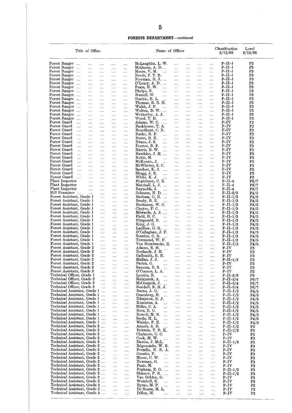#### **FORESTS DEPARTMENT—continued**

| Forest Ranger<br>Forest Ranger<br>Forest Ranger         |                      |                                                              |                        |                        |                                     | Name of Officer                                       |                        |                        |                             |                      | Classification<br>Level<br>5/12/68<br>6/12/68 |                            |  |  |
|---------------------------------------------------------|----------------------|--------------------------------------------------------------|------------------------|------------------------|-------------------------------------|-------------------------------------------------------|------------------------|------------------------|-----------------------------|----------------------|-----------------------------------------------|----------------------------|--|--|
|                                                         |                      | $\cdots$                                                     | $\cdots$               | $\ldots$               | $\cdots$                            | McLaughlin, L. W.                                     | $\cdots$               | $\cdots$               |                             | $\ldots$             | $F-II-I$                                      | $\mathbb{F}3$              |  |  |
|                                                         | $\cdots$<br>$\cdots$ | $\cdots$<br>$\ldots$                                         | $\cdots$               | $\ldots$               | $\ldots$                            | McQueen, A. D<br>Moore, V. M.<br>$\sim 100$           | $\cdots$<br>$\cdots$   | <br>$\cdots$           | $\cdots$<br>$\cdots$        | <br>.                | $F-II-1$<br>$F-II-I$                          | F3<br>$_{\rm F3}$          |  |  |
| Forest Ranger                                           |                      | $\cdots$                                                     | $\cdots$<br>$\ldots$ . | $\ldots$<br>$\sim$     | $\cdots$<br>$\sim$ .                | Needs, F. T. B.                                       | $\cdots$               | $\cdots$               | $\cdots$                    | $\ddotsc$            | $F-II-1$                                      | F3                         |  |  |
| Forest Ranger                                           |                      | $\ldots$                                                     | $\cdots$               | $\ldots$               | $\cdots$                            | Newman, R. J.                                         |                        | $\cdots$               | $\cdots$                    | $\cdots$             | $F-II-1$                                      | F3                         |  |  |
| Forest Ranger<br>Forest Ranger                          | $\cdots$             | $\cdots$<br>$\cdots$                                         | $\cdots$               | $\cdots$               | $\cdots$                            | $O'$ Leary, A. D.<br>Pears, H. W.<br>$\cdots$         | $\cdots$<br>$\cdots$   | $\sim$<br>$\cdots$     | $\cdots$                    | <br>                 | $F$ -II-l<br>$F-II-1$                         | $_{\rm F3}$<br>$_{\rm F3}$ |  |  |
| Forest Ranger                                           | $\sim$ . $\sim$      | $\cdots$                                                     | $\cdots$<br>$\cdots$   | $\cdots$<br>$\cdots$   | $\cdots$<br>                        | Phelps, N.<br>                                        | $\cdots$               | $\cdots$               | $\cdots$<br>$\cdots$        |                      | $F-II-I$                                      | F3                         |  |  |
| Forest Ranger                                           | $\cdots$             | $\cdots$                                                     | $\cdots$               | $\cdots$               | $\cdots$                            | Russell, W.<br>$\mathbf{r}$                           | $\cdots$               |                        | $\ldots$                    |                      | $F-II-1$                                      | F3                         |  |  |
| Forest Ranger<br>Forest Ranger                          | $\cdots$             | $\cdots$<br>$\cdots$                                         | <br>$\sim$             | $\cdots$<br>$\cdots$   | $\cdots$<br>$\sim$ . $\sim$         | Starkie, R. L.<br>$\cdots$<br>Thomas, E. E. H.        | $\cdots$<br>$\cdots$   | $\cdots$<br>$\cdots$   | $\cdots$<br>                | <br>$\cdots$         | $F-II-1$<br>$F$ -II-l                         | $_{\rm F3}$<br>F3          |  |  |
| Forest Ranger                                           | $\cdots$             | $\cdots$                                                     | $\cdots$               | $\cdots$               | $\cdots$                            | Walsh, J. F.<br>$\cdots$                              | $\ldots$               | $\ldots$ .             | $\cdots$                    |                      | $F-II-1$                                      | F3                         |  |  |
| Forest Ranger                                           | $\sim$               | $\cdots$                                                     |                        | $\cdots$               | $\sim$ . $\sim$                     | Walton, D. W. $\ldots$                                | $\cdots$               | $\cdots$               | $\cdots$                    | $\cdots$             | $F-II-1$                                      | F3                         |  |  |
| Forest Ranger<br>Forest Ranger                          | $\cdots$             | $\cdots$<br>$\cdots$                                         | $\cdots$<br>$\cdots$   | $\cdots$<br>$\cdots$   | <br>$\cdots$                        | Wetherley, A. J.<br>Wood, T. H.<br>$\cdots$           | $\cdots$<br>$\cdots$   | <br>$\cdots$           | <br>$\cdots$                | $\cdots$<br>$\ldots$ | $F-II-1$<br>$F$ -II-1                         | F3<br>$_{\rm F3}$          |  |  |
| Forest Guard                                            | $\cdots$             | $\cdots$                                                     | $\cdots$               | $\ldots$ .             | $\sim$ . $\sim$                     | Adams, W.C.<br><b>Sales Control</b>                   | .                      | $\cdots$               | $\cdots$                    | $\cdots$             | $F - IV$                                      | $_{\rm F2}$                |  |  |
| Forest Guard<br>Forest Guard                            | $\cdots$             | $\cdots$                                                     |                        | $\cdots$               | $\cdots$                            | Backhouse, T. A.                                      | $\ddotsc$              | $\sim 100$             | $\mathcal{L}_{\text{max}}$  |                      | $F-IV$<br>$F$ – $IV$                          | F2<br>$_{\rm F2}$          |  |  |
| Forest Guard                                            | $\cdots$<br>$\cdots$ | $\cdots$<br>$\cdots$                                         | $\ldots$ .<br>$\cdots$ | $\cdots$<br>$\cdots$   | $\cdots$<br>                        | Broadbent, C. N.<br>Burke, R. F.<br>$\sim$            | $\ldots$<br>$\sim 100$ | $\cdots$<br>$\cdots$   | $\cdots$<br>$\sim 100$      | <br>$\cdots$         | $F-IV$                                        | F2                         |  |  |
| Forest Guard                                            | $\cdots$             | $\cdots$                                                     |                        | $\cdots$               | $\cdots$                            | Burns, R. K.<br>$\sim$                                | $\sim 100$             | $\ldots$ .             | $\cdots$                    |                      | $_{\rm F-IV}$                                 | F2                         |  |  |
| Forest Guard<br>Forest Guard                            | $\cdots$             | $\cdots$                                                     |                        | $\cdots$               | $\cdots$                            | Evans, J.S.<br>$\cdots$<br>Forster, B. F.             | $\cdots$               | $\ldots$               | $\cdots$                    |                      | $F-IV$<br>$_{\rm F-IV}$                       | $_{\rm F2}$<br>$_{\rm F2}$ |  |  |
| Forest Guard                                            | $\cdots$<br>$\cdots$ | $\cdots$<br>$\cdots$                                         | $\cdots$<br>$\cdots$   | $\cdots$<br>$\cdots$   | $\cdots$<br>$\ldots$                | $\sim 100$<br>Harris, B. W.<br>$\cdots$               | $\sim 100$<br>         | $\cdots$<br>$\cdots$   | $\cdots$<br>$\cdots$        | <br>                 | $F-IV$                                        | F2                         |  |  |
| Forest Guard                                            | $\cdots$             | $\cdots$                                                     |                        | $\cdots$               | $\cdots$                            | Hawkins, J. H.                                        | $\ldots$               | $\cdots$               | $\cdots$                    |                      | $F$ – $IV$                                    | F <sub>2</sub>             |  |  |
| Forest Guard<br>Forest Guard                            | $\cdots$<br>$\cdots$ | $\sim 100$<br>$\sim$ $\sim$                                  | $\cdots$<br>           | $\cdots$<br>$\ldots$ . | $\cdots$<br>                        | Kokir, M.<br>$\mathbf{r}$<br>McKenzie, J.<br>in in    | $\cdots$<br>$\cdots$   | $\cdots$<br>$\cdots$   | $\cdots$<br>$\ldots$        | $\cdots$<br>         | $F-IV$<br>$F-IV$                              | F2<br>F2                   |  |  |
| Forest Guard                                            | $\cdots$             | $\cdots$                                                     | $\cdots$               | $\cdots$               | $\ldots$                            | McWhirter, S. C.                                      | $\cdots$               | $\cdots$               | $\cdots$                    |                      | $F-IV$                                        | $_{\rm F2}$                |  |  |
| Forest Guard<br>Forest Guard                            | $\ldots$             | $\sim 100$                                                   | $\cdots$               | $\cdots$               | $\cdots$                            | Sanders, K. J.                                        | $\cdots$               | $\cdots$               | $\cdots$                    | $\cdots$             | $F-IV$                                        | F2                         |  |  |
| Forest Guard                                            | $\cdots$<br>$\ldots$ | $\cdots$<br>$\ldots$                                         | <br>$\ddotsc$          | $\cdots$<br>$\cdots$   | <br>$\cdots$                        | Shugg, J. E.<br>$\sim$<br>White, K. J.<br>$\sim$      | $\sim$<br>$\sim 10$    | $\cdots$<br>$\ldots$ . | $\sim$ . $\sim$<br>$\cdots$ | $\ldots$<br>$\sim$   | $F-IV$<br>$_{\rm F-IV}$                       | $_{\rm F2}$<br>$_{\rm F2}$ |  |  |
| Plant Inspector                                         |                      | $\cdots$                                                     | $\cdots$               | $\cdots$               | $\cdots$                            | Hopkinson, C. E.                                      | $\ldots$ .             | $\bar{\omega}$         | $\ldots$                    | $\cdots$             | $F-II-4$                                      | F6/7                       |  |  |
| Plant Inspector<br>Plant Inspector                      |                      | $\cdots$<br>$\cdots$                                         |                        | $\cdots$               |                                     | Marshall, L. J.<br>Reynolds, J.<br>$\sim 100$         | $\sim$                 | $\cdots$               | $\cdots$                    | $\sim$               | $F-II-4$<br>$F-II-4$                          | F6/7<br>F6/7               |  |  |
| Mill Examiner                                           |                      | $\cdots$                                                     | $\cdots$<br>$\cdots$   | $\cdots$<br>$\cdots$   | $\cdots$<br>                        | Johnson, N. D.                                        | $\sim 10$<br>$\sim$    | $\ldots$ .<br>$\ldots$ | $\sim$ .<br>$\ldots$        | $\ldots$<br>$\cdots$ | $F-II-2/3$                                    | F4/5                       |  |  |
| Forest Assistant, Grade 1                               |                      |                                                              | $\cdots$               | $\cdots$               |                                     | Barham, G. E.                                         | $\cdots$               |                        | $\cdots$                    |                      | $F-II-1/3$                                    | F4/5                       |  |  |
| Forest Assistant, Grade 1<br>Forest Assistant, Grade 1  |                      |                                                              | $\cdots$<br>$\cdots$   | $\cdots$<br>$\cdots$   | <br>$\cdots$                        | Brody, B. E.<br>$\sim$<br>Buchanan, W. G.             | <br>$\cdots$           | <br>                   | $\cdots$<br>$\cdots$        | $\ldots$<br>$\cdots$ | $F-II-1/3$<br>$F-II-I/3$                      | F4/5<br>F4/5               |  |  |
| Forest Assistant, Grade 1                               |                      |                                                              | $\cdots$               |                        |                                     | Choyce, P.C.<br>$\sim 10$                             | $\cdots$               |                        | $\ldots$ .                  | $\ldots$             | $F-II-1/3$                                    | F4/5                       |  |  |
| Forest Assistant, Grade 1                               |                      |                                                              | $\cdots$               | $\cdots$               |                                     | Edwards, A. J.                                        |                        |                        | $\cdots$                    |                      | $F-II-1/3$                                    | F4/5                       |  |  |
| Forest Assistant, Grade 1<br>Forest Assistant, Grade 1  |                      |                                                              | $\cdots$<br>$\cdots$   | $\ldots$ .<br>$\cdots$ | $\cdots$<br>                        | Field, D.C.<br>.<br>Fitzgerald, B.                    | $\cdots$<br>$\cdots$   | <br>$\cdots$           | ,<br>.                      | <br>                 | $F-II-1/3$<br>$F-II-1/3$                      | F4/5<br>F4/5               |  |  |
| Forest Assistant, Grade 1                               |                      |                                                              | $\cdots$               | $\cdots$               | $\cdots$                            | King, J. G.<br>$\sim 10^{-1}$                         | $\ldots$               |                        | $\cdots$                    |                      | $F-II-1/3$                                    | F4/5                       |  |  |
| Forest Assistant, Grade 1<br>Forest Assistant, Grade 1  |                      |                                                              | $\cdots$               | $\sim 100$             | $\ldots$                            | Laidlaw, $G: R$<br>O'Callaghan, J. F.                 | $\cdots$               | $\cdots$               | $\cdots$                    | $\cdots$             | $F-II-1/3$<br>$F-II-1/3$                      | F4/5<br>$F_{4/5}$          |  |  |
| Forest Assistant, Grade 1                               |                      |                                                              | $\cdots$<br>$\cdots$   | $\cdots$<br>$\cdots$   | <br>$\cdots$                        | Scanlon, C. R.<br>$\sim 100$                          | $\sim 10$<br>$\sim$    | $\ldots$ .<br>$\ldots$ | $\cdots$<br>$\cdots$        | <br>                 | $F-II-I/3$                                    | F4/5                       |  |  |
| Forest Assistant, Grade 1                               |                      |                                                              | $\cdots$               | $\sim 100$             | $\sim$                              | Townsend, W. F.                                       | $\ldots$ .             | $\cdots$               | $\cdots$                    | $\cdots$             | $F-II-I/3$                                    | F4/5                       |  |  |
| Forest Assistant, Grade 1<br>Forest Assistant, Grade 2  |                      |                                                              | <br>                   | $\cdots$<br>           | <br>$\cdots$                        | Von Hombracht, E.<br>Adams, E. H.<br>$\mathbf{r}$     | $\sim 10$<br>$\ldots$  | $\cdots$<br>$\ldots$ . | <br>                        | <br>                 | $F-II-1/3$<br>$F-IV$                          | F4/5<br>F3                 |  |  |
| Forest Assistant, Grade 2                               |                      |                                                              |                        |                        |                                     | Dorlandt, J. H.                                       |                        |                        | .                           | .                    | $_{\rm F-IV}$                                 | F3                         |  |  |
| Forest Assistant, Grade 2<br>Forest Assistant, Grade 2  |                      |                                                              |                        | $\cdots$               |                                     | Galbraith, R. N.                                      | $\cdots$               | $\cdots$               | $\cdots$                    | .                    | $_{\rm F-IV}$<br>$F-II-1/3$                   | $\mathbb{F}3$              |  |  |
| Forest Assistant, Grade 2                               |                      |                                                              | <br>                   | $\cdots$<br>$\cdots$   | <br>                                | Mullan, J. J.<br>i i sa<br>Parish, G.<br>.            | $\sim$ .<br>$\cdots$   | $\ldots$<br>$\cdots$   | <br>$\cdots$                | <br>                 | $_{\rm F-IV}$                                 | F3<br>F3                   |  |  |
| Forest Assistant, Grade 2                               |                      |                                                              | $\cdots$               | $\ldots$               |                                     | Sansom, E.S.<br>$\sim$                                | $\cdots$               |                        |                             |                      | $_{\rm F-IV}$                                 | F3                         |  |  |
| Forest Assistant, Grade 3<br>Technical Officer, Grade 1 |                      |                                                              | <br>                   | $\cdots$               | $\cdots$                            | O'Connor, L. A.<br>Loorits, R.<br>.                   |                        |                        |                             |                      | $F-IV$<br>$F-II-5/6$                          | $_{\rm F2}$<br>$_{\rm F8}$ |  |  |
| Technical Officer, Grade 2                              |                      |                                                              |                        | $\cdots$<br>$\ldots$   | <br>                                | Malajczuk, A.<br>$\cdots$                             | $\cdots$<br>$\cdots$   | <br>                   | .<br>                       | .<br>                | $F-II-3/4$                                    | F6/7                       |  |  |
| Technical Officer, Grade 2                              |                      |                                                              | $\cdots$               | $\ldots$               |                                     | McCormick, J.<br>$\ldots$                             | $\cdots$               | $\ldots$               | $\cdots$                    | .                    | $F-II-3/4$                                    | F6/7                       |  |  |
| Technical Officer, Grade 2                              |                      | Technical Assistant, Grade 1                                 | <br>$\cdots$           | $\cdots$<br>$\ldots$ . | $\cdots$<br>$\cdots$                | Randall, E. H. J.<br>Burns, A. G.<br>$\cdots$         | $\cdots$<br>$\ldots$   | <br>$\cdots$           | <br>                        | <br>                 | $F-II-3/4$<br>$F-II-I/2$                      | F6/7<br>F4/5               |  |  |
|                                                         |                      | Technical Assistant, Grade 1                                 |                        | $\cdots$               | $\cdots$                            | Cransberg, H.<br>$\sim$                               | $\ldots$               | $\cdots$               |                             | $\cdots$             | $F-II-I/2$                                    | F4/5                       |  |  |
|                                                         |                      | Technical Assistant, Grade 1<br>Technical Assistant, Grade 1 | $\cdots$               | $\cdots$               | $\cdots$                            | Edmiston, R. J.<br>Kuniutus, A.                       | $\cdots$               | $\cdots$               | $\cdots$                    |                      | $F-II-I/2$<br>$F-II-I/2$                      | $\Gamma 4/5$               |  |  |
|                                                         |                      | Technical Assistant, Grade 1                                 |                        | $\ldots$<br>$\cdots$   | $\cdots$<br>$\cdots$                | .<br>Miller, C. A.<br>.                               | $\ldots$ .<br>         | <br>$\cdots$           | <br>                        | <br>                 | $F-II-I/2$                                    | F4/5<br>F4/5               |  |  |
|                                                         |                      | Technical Assistant, Grade 1                                 | $\cdots$               | $\cdots$               | $\cdots$                            | Rees, E. G.<br>a a ca                                 | $\cdots$               | $\cdots$               |                             |                      | $F-II-I/2$                                    | F4/5                       |  |  |
|                                                         |                      | Technical Assistant, Grade 1<br>Technical Assistant, Grade 1 |                        | $\cdots$<br>$\cdots$   | $\cdots$<br>$\cdots$                | Rowell, M. N.<br><br>Seeds, H. L.<br>in i             | $\cdots$<br>$\cdots$   |                        | $\cdots$                    |                      | $F-II-I/2$<br>$F-II-I/2$                      | F4/5<br>F4/5               |  |  |
|                                                         |                      | Technical Assistant, Grade 1                                 |                        | $\cdots$               |                                     | Walshe, F. E.<br>in an                                | $\cdots$               | <br>$\cdots$           | .<br>                       | $\cdots$<br>         | $F-II-I/2$                                    | F4/5                       |  |  |
|                                                         |                      | ${\bf Technical\ Assistant,\ Grade\ 2}\ \dots$               |                        | $\cdots$               | $\cdots$                            | Annels, A. R.<br>.                                    | $\cdots$               | $\cdots$               |                             |                      | $F-II-I/2$                                    | F3                         |  |  |
|                                                         |                      | Technical Assistant, Grade 2<br>Technical Assistant, Grade 2 | $\cdots$               | $\cdots$<br>$\cdots$   | $\cdots$<br>$\cdots$                | Brittain, T. R. K.<br>Chalmers, G.C.                  | $\cdots$<br>$\cdots$   | <br>.                  | $\cdots$<br>                | $\cdots$<br>         | $_{\rm F-II-I/2}$<br>$_{\rm F-IV}$            | F3<br>F3                   |  |  |
|                                                         |                      | Technical Assistant, Grade 2                                 | $\cdots$               | $\cdots$               | $\cdots$                            | Cook, M. W.<br>.                                      |                        |                        |                             |                      | $F_{-IV}$                                     | F3                         |  |  |
|                                                         |                      | Technical Assistant, Grade 2                                 |                        | $\cdots$               | $\cdots$                            | Davies, J. McL.                                       |                        |                        | $\cdots$                    | $\cdots$             | $F-II-1/2$                                    | F3                         |  |  |
|                                                         |                      | Technical Assistant, Grade 2<br>Technical Assistant, Grade 2 | $\ddotsc$              | $\cdots$<br>$\ldots$   | $\cdots$<br>$\cdots$                | Edgecombe, W. B.<br>Fremlin, R. R. A.                 | <br>                   | <br>                   | $\cdots$<br>.               | <br>                 | $F$ – $IV$<br>$F-IV$                          | F3<br>F3                   |  |  |
|                                                         |                      | Technical Assistant, Grade 2                                 |                        | $\cdots$               | $\cdots$                            | Gnuske, P.<br>                                        |                        |                        | $\cdots$                    |                      | $F-IV$                                        | $_{\rm F3}$                |  |  |
|                                                         |                      | Technical Assistant, Grade 2<br>Technical Assistant, Grade 2 |                        | $\cdots$               | $\cdots$                            | Moore, C. W.<br>                                      |                        |                        |                             |                      | $F$ – $IV$                                    | F3                         |  |  |
|                                                         |                      | Technical Assistant, Grade 2                                 | $\ddotsc$              | $\ldots$<br>$\cdots$   | <br>                                | Newman, G.<br>$\cdots$<br>Pasic, M.<br>$\cdots$       | $\cdots$<br>$\cdots$   | <br>                   | <br>                        | <br>                 | $_{\rm F-IV}$<br>$F$ –IV                      | F3<br>$_{\rm F3}$          |  |  |
|                                                         |                      | Technical Assistant, Grade 2                                 |                        | $\cdots$               | $\cdots$                            | Popham, E. G.                                         | $\cdots$               |                        | .                           | $\cdots$             | $F-II-1/2$                                    | $_{\rm F3}$                |  |  |
|                                                         |                      | Technical Assistant, Grade 2<br>Technical Assistant, Grade 2 | $\cdots$               | $\cdots$<br>$\cdots$   | $\sim$ . $\sim$                     | Skinner, P. R.<br>$\sim$ 100 $\sim$<br>Van Didden, G. | $\cdots$               |                        |                             |                      | $F-II-1/2$<br>$F-IV$                          | $_{\rm F3}$<br>$_{\rm F3}$ |  |  |
|                                                         |                      | Technical Assistant, Grade 2                                 |                        | $\cdots$               | $\cdots$<br>$\cdots$                | Wombell, K.<br>$\cdots$                               | $\cdots$<br>$\cdots$   | <br>$\cdots$           | $\ldots$<br>$\cdots$        | <br>is is            | $F$ – $IV$                                    | F3                         |  |  |
|                                                         |                      | Technical Assistant, Grade 3                                 |                        | $\cdots$               | $\cdots$                            | Byrne, M. P.<br>$\cdots$                              |                        | $\cdots$               |                             |                      | $F-IV$                                        | F2                         |  |  |
|                                                         |                      | Technical Assistant, Grade 3<br>Technical Assistant, Grade 3 |                        | <br>                   | $\cdots$<br>$\bar{z}$ , $\bar{z}$ , | De Souza, M. L.<br>Dillon, M.<br>$\cdots$             | $\cdots$<br>$\cdots$   | $\cdots$<br>$\cdots$   | <br>$\cdots$                | <br>                 | $F$ – $IV$<br>$F-IV$                          | $_{\rm F2}$<br>$_{\rm F2}$ |  |  |

 $\overline{\phantom{a}}$